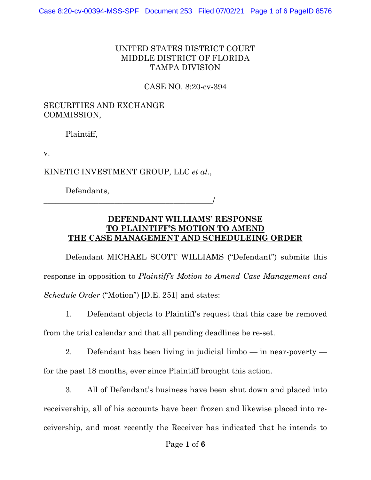## UNITED STATES DISTRICT COURT MIDDLE DISTRICT OF FLORIDA TAMPA DIVISION

CASE NO. 8:20-cv-394

## SECURITIES AND EXCHANGE COMMISSION,

Plaintiff,

v.

KINETIC INVESTMENT GROUP, LLC *et al.*,

Defendants,

\_\_\_\_\_\_\_\_\_\_\_\_\_\_\_\_\_\_\_\_\_\_\_\_\_\_\_\_\_\_\_\_\_\_\_\_\_\_\_\_\_\_\_/

## **DEFENDANT WILLIAMS' RESPONSE TO PLAINTIFF'S MOTION TO AMEND THE CASE MANAGEMENT AND SCHEDULEING ORDER**

Defendant MICHAEL SCOTT WILLIAMS ("Defendant") submits this response in opposition to *Plaintiff's Motion to Amend Case Management and Schedule Order* ("Motion") [D.E. 251] and states:

1. Defendant objects to Plaintiff's request that this case be removed from the trial calendar and that all pending deadlines be re-set.

2. Defendant has been living in judicial limbo — in near-poverty for the past 18 months, ever since Plaintiff brought this action.

3. All of Defendant's business have been shut down and placed into receivership, all of his accounts have been frozen and likewise placed into receivership, and most recently the Receiver has indicated that he intends to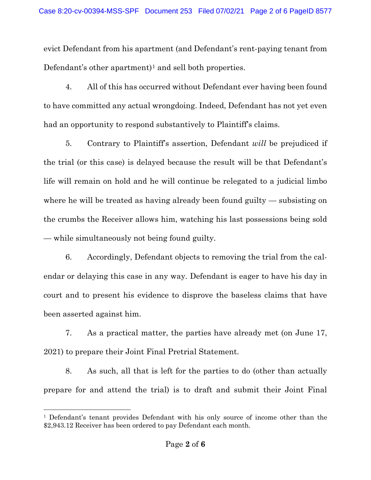evict Defendant from his apartment (and Defendant's rent-paying tenant from Defendant's other apartment)<sup>[1](#page-1-0)</sup> and sell both properties.

4. All of this has occurred without Defendant ever having been found to have committed any actual wrongdoing. Indeed, Defendant has not yet even had an opportunity to respond substantively to Plaintiff's claims.

5. Contrary to Plaintiff's assertion, Defendant *will* be prejudiced if the trial (or this case) is delayed because the result will be that Defendant's life will remain on hold and he will continue be relegated to a judicial limbo where he will be treated as having already been found guilty — subsisting on the crumbs the Receiver allows him, watching his last possessions being sold — while simultaneously not being found guilty.

6. Accordingly, Defendant objects to removing the trial from the calendar or delaying this case in any way. Defendant is eager to have his day in court and to present his evidence to disprove the baseless claims that have been asserted against him.

7. As a practical matter, the parties have already met (on June 17, 2021) to prepare their Joint Final Pretrial Statement.

8. As such, all that is left for the parties to do (other than actually prepare for and attend the trial) is to draft and submit their Joint Final

<span id="page-1-0"></span><sup>1</sup> Defendant's tenant provides Defendant with his only source of income other than the \$2,943.12 Receiver has been ordered to pay Defendant each month.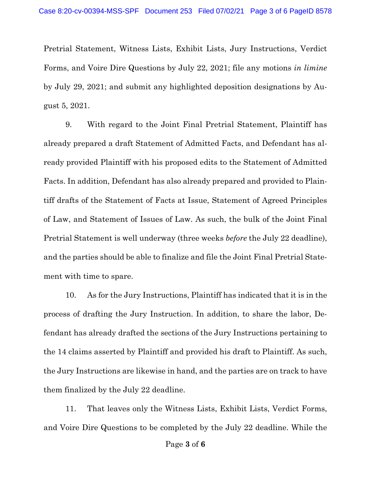Pretrial Statement, Witness Lists, Exhibit Lists, Jury Instructions, Verdict Forms, and Voire Dire Questions by July 22, 2021; file any motions *in limine* by July 29, 2021; and submit any highlighted deposition designations by August 5, 2021.

9. With regard to the Joint Final Pretrial Statement, Plaintiff has already prepared a draft Statement of Admitted Facts, and Defendant has already provided Plaintiff with his proposed edits to the Statement of Admitted Facts. In addition, Defendant has also already prepared and provided to Plaintiff drafts of the Statement of Facts at Issue, Statement of Agreed Principles of Law, and Statement of Issues of Law. As such, the bulk of the Joint Final Pretrial Statement is well underway (three weeks *before* the July 22 deadline), and the parties should be able to finalize and file the Joint Final Pretrial Statement with time to spare.

10. As for the Jury Instructions, Plaintiff has indicated that it is in the process of drafting the Jury Instruction. In addition, to share the labor, Defendant has already drafted the sections of the Jury Instructions pertaining to the 14 claims asserted by Plaintiff and provided his draft to Plaintiff. As such, the Jury Instructions are likewise in hand, and the parties are on track to have them finalized by the July 22 deadline.

11. That leaves only the Witness Lists, Exhibit Lists, Verdict Forms, and Voire Dire Questions to be completed by the July 22 deadline. While the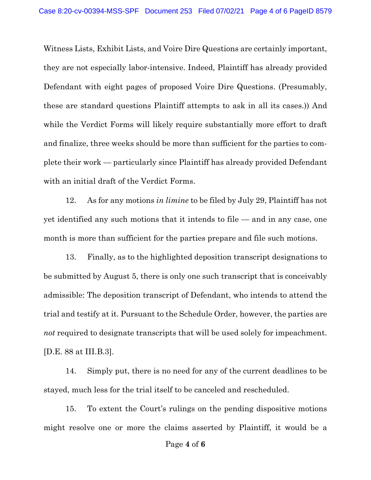Witness Lists, Exhibit Lists, and Voire Dire Questions are certainly important, they are not especially labor-intensive. Indeed, Plaintiff has already provided Defendant with eight pages of proposed Voire Dire Questions. (Presumably, these are standard questions Plaintiff attempts to ask in all its cases.)) And while the Verdict Forms will likely require substantially more effort to draft and finalize, three weeks should be more than sufficient for the parties to complete their work — particularly since Plaintiff has already provided Defendant with an initial draft of the Verdict Forms.

12. As for any motions *in limine* to be filed by July 29, Plaintiff has not yet identified any such motions that it intends to file — and in any case, one month is more than sufficient for the parties prepare and file such motions.

13. Finally, as to the highlighted deposition transcript designations to be submitted by August 5, there is only one such transcript that is conceivably admissible: The deposition transcript of Defendant, who intends to attend the trial and testify at it. Pursuant to the Schedule Order, however, the parties are *not* required to designate transcripts that will be used solely for impeachment. [D.E. 88 at III.B.3].

14. Simply put, there is no need for any of the current deadlines to be stayed, much less for the trial itself to be canceled and rescheduled.

15. To extent the Court's rulings on the pending dispositive motions might resolve one or more the claims asserted by Plaintiff, it would be a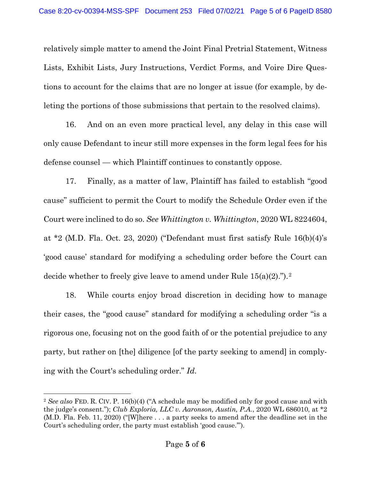relatively simple matter to amend the Joint Final Pretrial Statement, Witness Lists, Exhibit Lists, Jury Instructions, Verdict Forms, and Voire Dire Questions to account for the claims that are no longer at issue (for example, by deleting the portions of those submissions that pertain to the resolved claims).

16. And on an even more practical level, any delay in this case will only cause Defendant to incur still more expenses in the form legal fees for his defense counsel — which Plaintiff continues to constantly oppose.

17. Finally, as a matter of law, Plaintiff has failed to establish "good cause" sufficient to permit the Court to modify the Schedule Order even if the Court were inclined to do so. *See Whittington v. Whittington*, 2020 WL 8224604, at \*2 (M.D. Fla. Oct. 23, 2020) ("Defendant must first satisfy Rule 16(b)(4)'s 'good cause' standard for modifying a scheduling order before the Court can decide whether to freely give leave to amend under Rule  $15(a)(2)$  $15(a)(2)$  $15(a)(2)$ .").<sup>2</sup>

18. While courts enjoy broad discretion in deciding how to manage their cases, the "good cause" standard for modifying a scheduling order "is a rigorous one, focusing not on the good faith of or the potential prejudice to any party, but rather on [the] diligence [of the party seeking to amend] in complying with the Court's scheduling order." *Id.*

<span id="page-4-0"></span><sup>2</sup> *See also* FED. R. CIV. P. 16(b)(4) ("A schedule may be modified only for good cause and with the judge's consent."); *Club Exploria, LLC v. Aaronson, Austin, P.A.*, 2020 WL 686010, at \*2 (M.D. Fla. Feb. 11, 2020) ("[W]here . . . a party seeks to amend after the deadline set in the Court's scheduling order, the party must establish 'good cause.'").